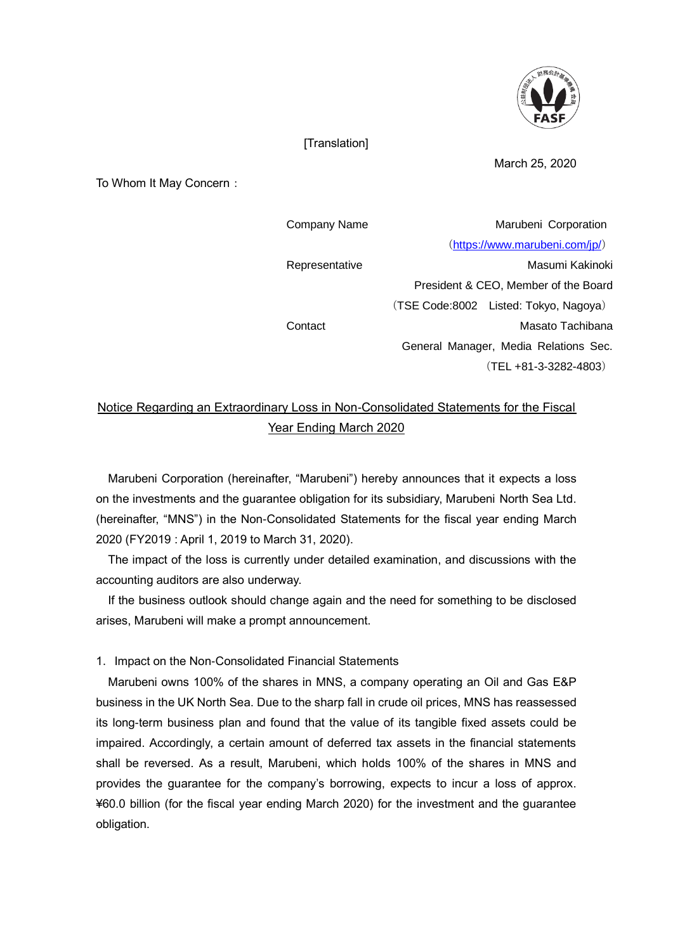

## [Translation]

March 25, 2020

To Whom It May Concern:

| Company Name   | Marubeni Corporation                  |
|----------------|---------------------------------------|
|                | (https://www.marubeni.com/jp/)        |
| Representative | Masumi Kakinoki                       |
|                | President & CEO, Member of the Board  |
|                | (TSE Code:8002 Listed: Tokyo, Nagoya) |
| Contact        | Masato Tachibana                      |
|                | General Manager, Media Relations Sec. |
|                | $(TEL + 81 - 3 - 3282 - 4803)$        |

## Notice Regarding an Extraordinary Loss in Non-Consolidated Statements for the Fiscal Year Ending March 2020

Marubeni Corporation (hereinafter, "Marubeni") hereby announces that it expects a loss on the investments and the guarantee obligation for its subsidiary, Marubeni North Sea Ltd. (hereinafter, "MNS") in the Non-Consolidated Statements for the fiscal year ending March 2020 (FY2019 : April 1, 2019 to March 31, 2020).

The impact of the loss is currently under detailed examination, and discussions with the accounting auditors are also underway.

If the business outlook should change again and the need for something to be disclosed arises, Marubeni will make a prompt announcement.

1. Impact on the Non-Consolidated Financial Statements

Marubeni owns 100% of the shares in MNS, a company operating an Oil and Gas E&P business in the UK North Sea. Due to the sharp fall in crude oil prices, MNS has reassessed its long-term business plan and found that the value of its tangible fixed assets could be impaired. Accordingly, a certain amount of deferred tax assets in the financial statements shall be reversed. As a result, Marubeni, which holds 100% of the shares in MNS and provides the guarantee for the company's borrowing, expects to incur a loss of approx. ¥60.0 billion (for the fiscal year ending March 2020) for the investment and the guarantee obligation.